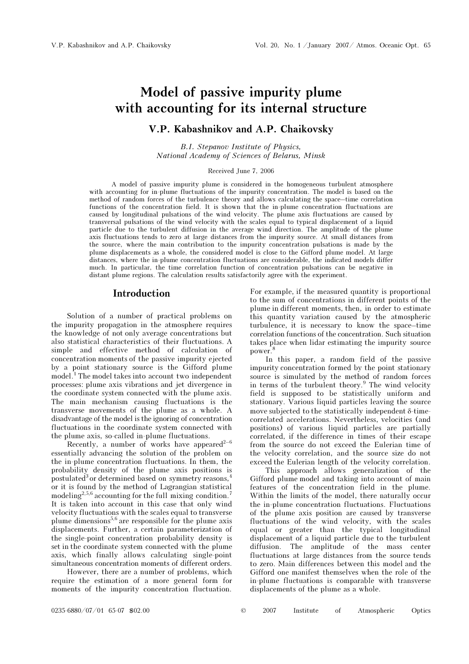# Model of passive impurity plume with accounting for its internal structure

# V.P. Kabashnikov and A.P. Chaikovsky

B.I. Stepanov Institute of Physics, National Academy of Sciences of Belarus, Minsk

#### Received June 7, 2006

A model of passive impurity plume is considered in the homogeneous turbulent atmosphere with accounting for in-plume fluctuations of the impurity concentration. The model is based on the method of random forces of the turbulence theory and allows calculating the space–time correlation functions of the concentration field. It is shown that the in-plume concentration fluctuations are caused by longitudinal pulsations of the wind velocity. The plume axis fluctuations are caused by transversal pulsations of the wind velocity with the scales equal to typical displacement of a liquid particle due to the turbulent diffusion in the average wind direction. The amplitude of the plume axis fluctuations tends to zero at large distances from the impurity source. At small distances from the source, where the main contribution to the impurity concentration pulsations is made by the plume displacements as a whole, the considered model is close to the Gifford plume model. At large distances, where the in-plume concentration fluctuations are considerable, the indicated models differ much. In particular, the time correlation function of concentration pulsations can be negative in distant plume regions. The calculation results satisfactorily agree with the experiment.

### Introduction

Solution of a number of practical problems on the impurity propagation in the atmosphere requires the knowledge of not only average concentrations but also statistical characteristics of their fluctuations. A simple and effective method of calculation of concentration moments of the passive impurity ejected by a point stationary source is the Gifford plume model.<sup>1</sup> The model takes into account two independent processes: plume axis vibrations and jet divergence in the coordinate system connected with the plume axis. The main mechanism causing fluctuations is the transverse movements of the plume as a whole. A disadvantage of the model is the ignoring of concentration fluctuations in the coordinate system connected with the plume axis, so-called in-plume fluctuations.

Recently, a number of works have appeared<sup>2-6</sup> essentially advancing the solution of the problem on the in-plume concentration fluctuations. In them, the probability density of the plume axis positions is postulated<sup>3</sup> or determined based on symmetry reasons, $\frac{4}{3}$ or it is found by the method of Lagrangian statistical modeling<sup>2,5,6</sup> accounting for the full mixing condition.<sup>7</sup> It is taken into account in this case that only wind velocity fluctuations with the scales equal to transverse plume dimensions<sup>5,6</sup> are responsible for the plume axis displacements. Further, a certain parameterization of the single-point concentration probability density is set in the coordinate system connected with the plume axis, which finally allows calculating single-point simultaneous concentration moments of different orders.

 However, there are a number of problems, which require the estimation of a more general form for moments of the impurity concentration fluctuation.

For example, if the measured quantity is proportional to the sum of concentrations in different points of the plume in different moments, then, in order to estimate this quantity variation caused by the atmospheric turbulence, it is necessary to know the space–time correlation functions of the concentration. Such situation takes place when lidar estimating the impurity source power.

In this paper, a random field of the passive impurity concentration formed by the point stationary source is simulated by the method of random forces in terms of the turbulent theory.<sup>9</sup> The wind velocity field is supposed to be statistically uniform and stationary. Various liquid particles leaving the source move subjected to the statistically independent δ-timecorrelated accelerations. Nevertheless, velocities (and positions) of various liquid particles are partially correlated, if the difference in times of their escape from the source do not exceed the Eulerian time of the velocity correlation, and the source size do not exceed the Eulerian length of the velocity correlation.

 This approach allows generalization of the Gifford plume model and taking into account of main features of the concentration field in the plume. Within the limits of the model, there naturally occur the in-plume concentration fluctuations. Fluctuations of the plume axis position are caused by transverse fluctuations of the wind velocity, with the scales equal or greater than the typical longitudinal displacement of a liquid particle due to the turbulent diffusion. The amplitude of the mass center fluctuations at large distances from the source tends to zero. Main differences between this model and the Gifford one manifest themselves when the role of the in-plume fluctuations is comparable with transverse displacements of the plume as a whole.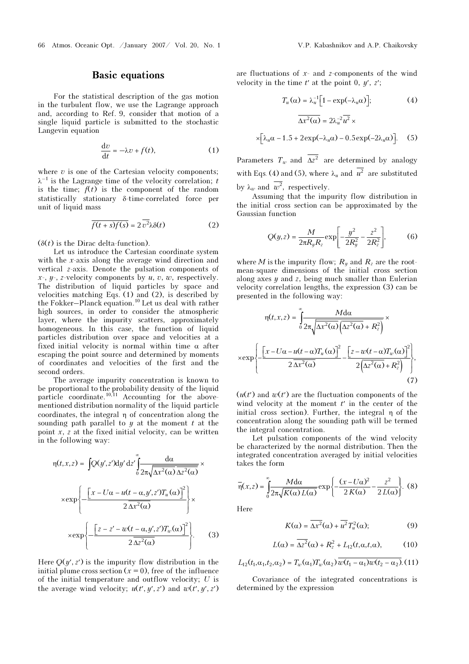## Basic equations

For the statistical description of the gas motion in the turbulent flow, we use the Lagrange approach and, according to Ref. 9, consider that motion of a single liquid particle is submitted to the stochastic Langevin equation

$$
\frac{\mathrm{d}v}{\mathrm{d}t} = -\lambda v + f(t),\tag{1}
$$

where  $v$  is one of the Cartesian velocity components;  $\lambda^{-1}$  is the Lagrange time of the velocity correlation; t is the time;  $f(t)$  is the component of the random statistically stationary δ-time-correlated force per unit of liquid mass

$$
\overline{f(t+s)f(s)} = 2\,\overline{v^2}\lambda\delta(t) \tag{2}
$$

 $(\delta(t))$  is the Dirac delta-function).

Let us introduce the Cartesian coordinate system with the  $x$ -axis along the average wind direction and vertical z-axis. Denote the pulsation components of  $x-$ ,  $y-$ ,  $z$ -velocity components by  $u, v, w$ , respectively. The distribution of liquid particles by space and velocities matching Eqs. (1) and (2), is described by the Fokker–Planck equation.<sup>10</sup> Let us deal with rather high sources, in order to consider the atmospheric layer, where the impurity scatters, approximately homogeneous. In this case, the function of liquid particles distribution over space and velocities at a fixed initial velocity is normal within time  $\alpha$  after escaping the point source and determined by moments of coordinates and velocities of the first and the second orders.

The average impurity concentration is known to be proportional to the probability density of the liquid particle coordinate.<sup>10,11</sup> Accounting for the abovementioned distribution normality of the liquid particle coordinates, the integral η of concentration along the sounding path parallel to  $y$  at the moment  $t$  at the point  $x, z$  at the fixed initial velocity, can be written in the following way:

$$
\eta(t,x,z) = \int Q(y',z')dy' dz' \int_0^{\infty} \frac{d\alpha}{2\pi\sqrt{\Delta x^2(\alpha)}\Delta z^2(\alpha)} \times
$$

$$
\times \exp\left\{-\frac{\left[x - U\alpha - u(t - \alpha, y', z')T_u(\alpha)\right]^2}{2\Delta x^2(\alpha)}\right\} \times
$$

$$
\times \exp\left\{-\frac{\left[z - z' - w(t - \alpha, y', z')T_w(\alpha)\right]^2}{2\Delta z^2(\alpha)}\right\}.
$$
(3)

Here  $O(y', z')$  is the impurity flow distribution in the initial plume cross section  $(x = 0)$ , free of the influence of the initial temperature and outflow velocity; U is the average wind velocity;  $u(t', y', z')$  and  $w(t', y', z')$ 

are fluctuations of  $x$ - and  $z$ -components of the wind<br>velocity in the time  $t'$  at the point 0,  $y'$ ,  $z'$ ;<br> $T_u(\alpha) = \lambda_u^{-1} \Big[ 1 - \exp(-\lambda_u \alpha) \Big]$ ; (4) velocity in the time  $t'$  at the point 0,  $y'$ ,  $z'$ ;

$$
T_u(\alpha) = \lambda_u^{-1} \Big[ 1 - \exp(-\lambda_u \alpha) \Big];\tag{4}
$$

$$
\overline{\Delta x^2(\alpha)} = 2\lambda_u^{-2} \overline{u^2} \times
$$

$$
\times \big[\lambda_u \alpha - 1.5 + 2 \exp(-\lambda_u \alpha) - 0.5 \exp(-2\lambda_u \alpha)\big].
$$
 (5)

Parameters  $T_w$  and  $\overline{\Delta z^2}$  are determined by analogy with Eqs. (4) and (5), where  $\lambda_u$  and  $\overline{u^2}$  are substituted by  $\lambda_{\infty}$  and  $\overline{\omega^2}$ , respectively.

Assuming that the impurity flow distribution in the initial cross section can be approximated by the Gaussian function

$$
Q(y,z) = \frac{M}{2\pi R_y R_z} \exp\left[-\frac{y^2}{2R_y^2} - \frac{z^2}{2R_z^2}\right],
$$
 (6)

where *M* is the impurity flow;  $R_y$  and  $R_z$  are the rootmean-square dimensions of the initial cross section along axes  $y$  and  $z$ , being much smaller than Eulerian velocity correlation lengths, the expression (3) can be presented in the following way:

$$
\eta(t, x, z) = \int_{0}^{\infty} \frac{M d\alpha}{2\pi \sqrt{\Delta x^{2}(\alpha)} \left(\Delta z^{2}(\alpha) + R_{z}^{2}\right)} \times
$$

$$
\times \exp\left\{-\frac{\left[x - U\alpha - u(t - \alpha)T_{u}(\alpha)\right]^{2}}{2\Delta x^{2}(\alpha)} - \frac{\left[z - w(t - \alpha)T_{w}(\alpha)\right]^{2}}{2\left(\Delta z^{2}(\alpha) + R_{z}^{2}\right)}\right\},\tag{7}
$$

 $(u(t')$  and  $w(t')$  are the fluctuation components of the wind velocity at the moment  $t'$  in the center of the initial cross section). Further, the integral η of the concentration along the sounding path will be termed the integral concentration.

Let pulsation components of the wind velocity be characterized by the normal distribution. Then the integrated concentration averaged by initial velocities takes the form

$$
\overline{\eta}(x,z) = \int_{0}^{\infty} \frac{M d\alpha}{2\pi\sqrt{K(\alpha) L(\alpha)}} \exp\left\{-\frac{(x - U\alpha)^2}{2K(\alpha)} - \frac{z^2}{2L(\alpha)}\right\}.
$$
 (8)

Here

$$
K(\alpha) = \overline{\Delta x^2}(\alpha) + \overline{u^2} T_u^2(\alpha); \tag{9}
$$

$$
L(\alpha) = \overline{\Delta z^2}(\alpha) + R_z^2 + L_{12}(t, \alpha, t, \alpha), \qquad (10)
$$

$$
L_{12}(t_1,\alpha_1,t_2,\alpha_2)=T_w(\alpha_1)T_w(\alpha_2)\overline{w(t_1-\alpha_1)w(t_2-\alpha_2)}.\text{(11)}
$$

Covariance of the integrated concentrations is determined by the expression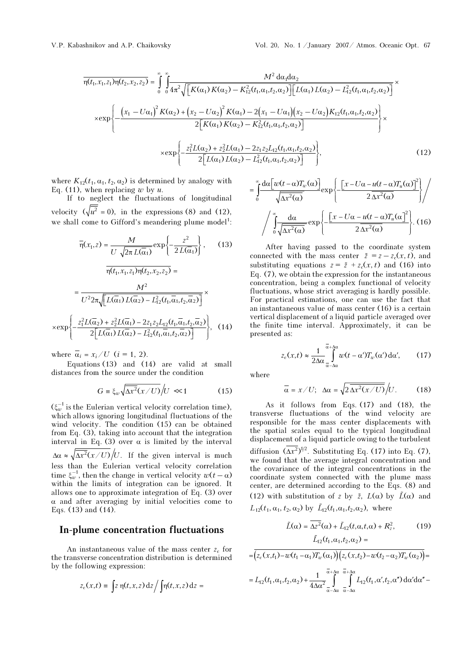$$
\overline{n(t_1, x_1, z_1)} \overline{n(t_2, x_2, z_2)} = \int_0^\infty \int_0^\infty \frac{M^2 \, d\alpha_1 d\alpha_2}{4\pi^2 \sqrt{\left[K(\alpha_1)K(\alpha_2) - K_{12}^2(t_1, \alpha_1, t_2, \alpha_2)\right] \left[L(\alpha_1) L(\alpha_2) - L_{12}^2(t_1, \alpha_1, t_2, \alpha_2)\right]}} \times \exp\left\{-\frac{\left(x_1 - U\alpha_1\right)^2 K(\alpha_2) + \left(x_2 - U\alpha_2\right)^2 K(\alpha_1) - 2\left(x_1 - U\alpha_1\right)\left(x_2 - U\alpha_2\right) K_{12}(t_1, \alpha_1, t_2, \alpha_2)\right]}{2\left[K(\alpha_1)K(\alpha_2) - K_{12}^2(t_1, \alpha_1, t_2, \alpha_2)\right]}\right\} \times \exp\left\{-\frac{z_1^2 L(\alpha_2) + z_2^2 L(\alpha_1) - 2z_1 z_2 L_{12}(t_1, \alpha_1, t_2, \alpha_2)}{2\left[L(\alpha_1) L(\alpha_2) - L_{12}^2(t_1, \alpha_1, t_2, \alpha_2)\right]}\right\},\tag{12}
$$

where  $K_{12}(t_1, \alpha_1, t_2, \alpha_2)$  is determined by analogy with Eq. (11), when replacing  $w$  by  $u$ .

If to neglect the fluctuations of longitudinal velocity  $(\sqrt{u^2} = 0)$ , in the expressions (8) and (12), we shall come to Gifford's meandering plume model<sup>1</sup>:

$$
\overline{\eta}(x_1, z) = \frac{M}{U \sqrt{2\pi L(\overline{\alpha}_1)}} \exp\left\{-\frac{z^2}{2L(\overline{\alpha}_1)}\right\},\qquad(13)
$$

$$
\overline{\eta(t_1, x_1, z_1)} \eta(t_2, x_2, z_2) =
$$

$$
= \frac{M^2}{U^2 2\pi \sqrt{\left[L(\overline{\alpha}_1) L(\overline{\alpha}_2) - L_{12}^2(t_1, \overline{\alpha}_1, t_2, \overline{\alpha}_2)\right]}} \times \exp\left\{-\frac{z_1^2 L(\overline{\alpha}_2) + z_2^2 L(\overline{\alpha}_1) - 2z_1 z_2 L_{12}(t_1, \overline{\alpha}_1, t_2, \overline{\alpha}_2)}{2\left[L(\overline{\alpha}_1) L(\overline{\alpha}_2) - L_{12}^2(t_1, \overline{\alpha}_1, t_2, \overline{\alpha}_2)\right]}\right\},\qquad(14)
$$

where  $\overline{\alpha}_i = x_i / U$  ( $i = 1, 2$ ).

Equations (13) and (14) are valid at small distances from the source under the condition

$$
G \equiv \xi_w \sqrt{\Delta x^2 (x/U)} / U \ll 1 \tag{15}
$$

 $(\xi_w^{-1})$  is the Eulerian vertical velocity correlation time), which allows ignoring longitudinal fluctuations of the wind velocity. The condition (15) can be obtained from Eq. (3), taking into account that the integration interval in Eq. (3) over  $\alpha$  is limited by the interval  $\Delta \alpha \approx \sqrt{\Delta x^2 (x/U)} / U$ . If the given interval is much less than the Eulerian vertical velocity correlation time  $\xi_w^{-1}$ , then the change in vertical velocity  $w(t - \alpha)$ within the limits of integration can be ignored. It allows one to approximate integration of Eq. (3) over  $\alpha$  and after averaging by initial velocities come to Eqs. (13) and (14).

## In-plume concentration fluctuations

An instantaneous value of the mass center  $z_c$  for the transverse concentration distribution is determined by the following expression:

$$
z_{\rm c}(x,t) \equiv \int z \, \eta(t,x,z) \, {\rm d}z \Big/ \int \! \eta(t,x,z) \, {\rm d}z =
$$

$$
= \int_{0}^{\infty} \frac{d\alpha \left[ w(t-\alpha)T_w(\alpha) \right]}{\sqrt{\Delta x^2(\alpha)}} \exp \left\{ -\frac{\left[ x - U\alpha - u(t-\alpha)T_u(\alpha) \right]^2}{2\Delta x^2(\alpha)} \right\} / \int_{0}^{\infty} \frac{d\alpha}{\sqrt{\Delta x^2(\alpha)}} \exp \left\{ -\frac{\left[ x - U\alpha - u(t-\alpha)T_u(\alpha) \right]^2}{2\Delta x^2(\alpha)} \right\}. \text{ (16)}
$$
\nAfter having passed to the coordinate system connected with the mass center  $\tilde{z} = z - z_c(x, t)$ , and

After having passed to the coordinate system  $\int_0^1 \sqrt{\Delta x^2(\alpha)}$   $\int_0^1$ <br>After having passed to<br>connected with the mass cer<br>substituting equations  $z = \tilde{z}$ substituting equations  $z = \tilde{z} + z_c(x, t)$  and (16) into Eq. (7), we obtain the expression for the instantaneous concentration, being a complex functional of velocity fluctuations, whose strict averaging is hardly possible. For practical estimations, one can use the fact that an instantaneous value of mass center (16) is a certain vertical displacement of a liquid particle averaged over the finite time interval. Approximately, it can be presented as:

$$
z_{\rm c}(x,t) \approx \frac{1}{2\Delta\alpha} \int_{\alpha-\Delta\alpha}^{\overline{\alpha}+\Delta\alpha} w(t-\alpha') T_w(\alpha') d\alpha', \qquad (17)
$$

where

$$
\overline{\alpha} = x/U; \quad \Delta \alpha = \sqrt{2 \overline{\Delta x^2(x/U)}}/U. \quad (18)
$$

As it follows from Eqs. (17) and (18), the transverse fluctuations of the wind velocity are responsible for the mass center displacements with the spatial scales equal to the typical longitudinal displacement of a liquid particle owing to the turbulent diffusion  $(\overline{\Delta x^2})^{1/2}$ . Substituting Eq. (17) into Eq. (7), we found that the average integral concentration and the covariance of the integral concentrations in the coordinate system connected with the plume mass center, are determined according to the Eqs. (8) and we found that the average integral concentration<br>the covariance of the integral concentrations is<br>coordinate system connected with the plume<br>center, are determined according to the Eqs. (8)<br>(12) with substitution of z by (12) with substitution of z by  $\tilde{z}$ ,  $L(\alpha)$  by  $\tilde{L}(\alpha)$  and the covariance of the integral concentration<br>coordinate system connected with the p<br>center, are determined according to the E<br>(12) with substitution of z by  $\tilde{z}$ ,  $L(\alpha)$  by<br> $L_{12}(t_1, \alpha_1, t_2, \alpha_2)$  by  $\tilde{L}_{12}(t_1, \$ determined according to the Ec<br>substitution of z by  $\tilde{z}$ ,  $L(\alpha)$  by<br> $z_1, \alpha_2$ ) by  $\tilde{L}_12(t_1, \alpha_1, t_2, \alpha_2)$ , where<br> $\tilde{L}(\alpha) = \overline{\Delta z^2}(\alpha) + \tilde{L}_12(t, \alpha, t, \alpha) + R_z^2$ , )<br>.<br>.

$$
L_{12}(t_1, \alpha_1, t_2, \alpha_2) \text{ by } \tilde{L}_{12}(t_1, \alpha_1, t_2, \alpha_2), \text{ where}
$$
\n
$$
\tilde{L}(\alpha) = \overline{\Delta z^2}(\alpha) + \tilde{L}_{12}(t, \alpha, t, \alpha) + R_z^2,
$$
\n
$$
\tilde{L}_{12}(t_1, \alpha_1, t_2, \alpha_2) =
$$
\n
$$
= \overline{\left(z_c(x, t_1) - w(t_1 - \alpha_1)T_w(\alpha_1)\right)\left(z_c(x, t_2) - w(t_2 - \alpha_2)T_w(\alpha_2)\right)} =
$$
\n
$$
= L_{12}(t_1, \alpha_1, t_2, \alpha_2) + \frac{1}{4\Delta\alpha^2} \int_{\alpha - \Delta\alpha}^{\overline{\alpha} + \Delta\alpha} \frac{\overline{\alpha} + \Delta\alpha}{\overline{\alpha} - \Delta\alpha} \int_{\alpha - \Delta\alpha}^{\overline{\alpha} + \Delta\alpha} L_{12}(t_1, \alpha', t_2, \alpha'') d\alpha' d\alpha'' -
$$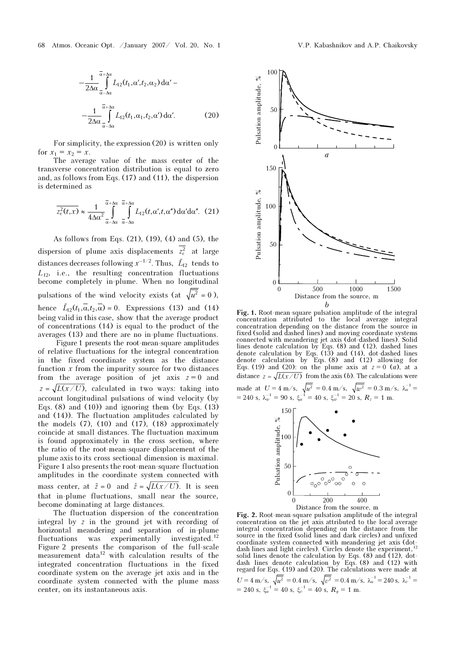$$
-\frac{1}{2\Delta\alpha} \int_{\alpha-\Delta\alpha}^{\overline{\alpha}+\Delta\alpha} L_{12}(t_1,\alpha',t_2,\alpha_2) d\alpha'-
$$

$$
-\frac{1}{2\Delta\alpha} \int_{\alpha-\Delta\alpha}^{\overline{\alpha}+\Delta\alpha} L_{12}(t_1,\alpha_1,t_2,\alpha') d\alpha'.
$$
(20)

For simplicity, the expression (20) is written only for  $x_1 = x_2 = x$ .

The average value of the mass center of the transverse concentration distribution is equal to zero and, as follows from Eqs. (17) and (11), the dispersion is determined as

$$
\overline{z_c^2(t,x)} \approx \frac{1}{4\Delta\alpha^2} \int\limits_{-\alpha-\Delta\alpha}^{\overline{\alpha}+\Delta\alpha} \int\limits_{-\alpha-\Delta\alpha}^{\overline{\alpha}+\Delta\alpha} L_{12}(t,\alpha',t,\alpha'') d\alpha' d\alpha''. (21)
$$

As follows from Eqs. (21), (19), (4) and (5), the dispersion of plume axis displacements  $z_c^2$  at large distances decreases following  $x^{-1/2}$ . Thus,  $\tilde{L}_{12}$  tends to  $L_{12}$ , i.e., the resulting concentration fluctuations become completely in-plume. When no longitudinal pulsations of the wind velocity exists (at  $\sqrt{u^2} = 0$ ),  $L_{12}$ , i.e., the resulting<br>become completely in-p<br>pulsations of the wind<br>hence  $\tilde{L}_{12}(t_1,\overline{\alpha},t_2,\overline{\alpha})=0$ . hence  $\tilde{L}_1(t_1, \alpha, t_2, \alpha) = 0$ . Expressions (13) and (14) being valid in this case, show that the average product of concentrations (14) is equal to the product of the averages (13) and there are no in-plume fluctuations.

 Figure 1 presents the root-mean-square amplitudes of relative fluctuations for the integral concentration in the fixed coordinate system as the distance function  $x$  from the impurity source for two distances from the average position of jet axis  $z = 0$  and  $z = \sqrt{L(x/U)}$ , calculated in two ways: taking into account longitudinal pulsations of wind velocity (by Eqs.  $(8)$  and  $(10)$ ) and ignoring them (by Eqs.  $(13)$ ) and (14)). The fluctuation amplitudes calculated by the models  $(7)$ ,  $(10)$  and  $(17)$ ,  $(18)$  approximately coincide at small distances. The fluctuation maximum is found approximately in the cross section, where the ratio of the root-mean-square displacement of the plume axis to its cross sectional dimension is maximal. Figure 1 also presents the root-mean-square fluctuation amplitudes in the coordinate system connected with the ratio of the root-mean-square displacement of the plume axis to its cross sectional dimension is maximal.<br>Figure 1 also presents the root-mean-square fluctuation amplitudes in the coordinate system connected with mass that in-plume fluctuations, small near the source, become dominating at large distances.

The fluctuation dispersion of the concentration integral by z in the ground jet with recording of horizontal meandering and separation of in-plume fluctuations was experimentally investigated.<sup>12</sup> Figure 2 presents the comparison of the full-scale measurement data $12$  with calculation results of the integrated concentration fluctuations in the fixed coordinate system on the average jet axis and in the coordinate system connected with the plume mass center, on its instantaneous axis.



Fig. 1. Root-mean-square pulsation amplitude of the integral concentration attributed to the local average integral concentration depending on the distance from the source in fixed (solid and dashed lines) and moving coordinate systems connected with meandering jet axis (dot-dashed lines). Solid lines denote calculation by Eqs. (8) and (12), dashed lines denote calculation by Eqs. (13) and (14), dot-dashed lines denote calculation by Eqs. (8) and (12) allowing for Eqs. (19) and (20): on the plume axis at  $z = 0$  (a), at a distance  $z = \sqrt{L(x/U)}$  from the axis (b). The calculations were made at  $U = 4 \text{ m/s}, \ \sqrt{u^2} = 0.4 \text{ m/s}, \ \sqrt{w^2} = 0.3 \text{ m/s}, \ \lambda_u^{-1} =$  $= 240 \text{ s}, \ \lambda_w^{-1} = 90 \text{ s}, \ \xi_u^{-1} = 40 \text{ s}, \ \xi_w^{-1} = 20 \text{ s}, \ R_z = 1 \text{ m}.$ 



Fig. 2. Root-mean-square pulsation amplitude of the integral concentration on the jet axis attributed to the local average integral concentration depending on the distance from the source in the fixed (solid lines and dark circles) and unfixed coordinate system connected with meandering jet axis (dot-<br>dash lines and light circles). Circles denote the experiment,<sup>12</sup> solid lines denote the calculation by Eqs. (8) and (12), dotdash lines denote calculation by Eqs. (8) and (12) with regard for Eqs. (19) and (20). The calculations were made at  $U = 4 \text{ m/s}, \ \sqrt{\overline{u^2}} = 0.4 \text{ m/s}, \ \sqrt{\overline{v^2}} = 0.4 \text{ m/s}, \ \lambda_u^{-1} = 240 \text{ s}, \ \lambda_v^{-1} =$ = 240 s,  $\xi_u^{-1}$  = 40 s,  $\xi_v^{-1}$  = 40 s,  $R_y$  = 1 m.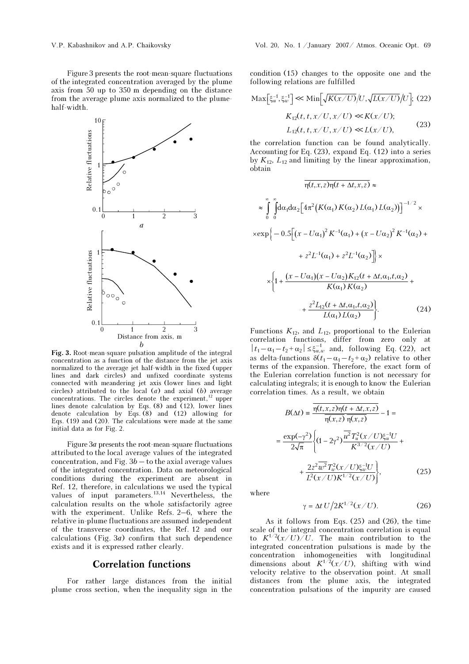Figure 3 presents the root-mean-square fluctuations of the integrated concentration averaged by the plume axis from 50 up to 350 m depending on the distance from the average plume axis normalized to the plumehalf-width.



Fig. 3. Root-mean-square pulsation amplitude of the integral concentration as a function of the distance from the jet axis normalized to the average jet half-width in the fixed (upper lines and dark circles) and unfixed coordinate systems connected with meandering jet axis (lower lines and light circles) attributed to the local  $(a)$  and axial  $(b)$  average concentrations. The circles denote the experiment, $^{12}$  upper lines denote calculation by Eqs. (8) and (12), lower lines denote calculation by Eqs. (8) and (12) allowing for Eqs. (19) and (20). The calculations were made at the same initial data as for Fig. 2.

Figure 3a presents the root-mean-square fluctuations attributed to the local average values of the integrated concentration, and Fig.  $3b -$  to the axial average values of the integrated concentration. Data on meteorological conditions during the experiment are absent in Ref. 12, therefore, in calculations we used the typical values of input parameters. $^{13,14}$  Nevertheless, the calculation results on the whole satisfactorily agree with the experiment. Unlike Refs. 2–6, where the relative in-plume fluctuations are assumed independent of the transverse coordinates, the Ref. 12 and our calculations (Fig.  $3a$ ) confirm that such dependence exists and it is expressed rather clearly.

## Correlation functions

For rather large distances from the initial plume cross section, when the inequality sign in the

condition (15) changes to the opposite one and the following relations are fulfilled following relations are fulfilled

$$
\operatorname{Max}\left[\xi_u^{-1}, \xi_w^{-1}\right] \ll \operatorname{Min}\left[\sqrt{K(x/U)}/U, \sqrt{L(x/U)}/U\right]; (22)
$$

$$
K_{12}(t, t, x/U, x/U) \ll K(x/U);
$$

$$
L_{12}(t, t, x/U, x/U) \ll L(x/U),
$$
 (23)

the correlation function can be found analytically. Accounting for Eq. (23), expand Eq. (12) into a series by  $K_{12}$ ,  $L_{12}$  and limiting by the linear approximation, obtain

$$
\frac{1}{\eta(t, x, z)\eta(t + \Delta t, x, z)} \approx
$$
\n
$$
\approx \int_{0}^{\infty} \int_{0}^{\infty} d\alpha_{1} d\alpha_{2} \Big[ 4\pi^{2} \big( K(\alpha_{1}) K(\alpha_{2}) L(\alpha_{1}) L(\alpha_{2}) \big) \Big]^{-1/2} \times
$$
\n
$$
\times \exp \Big\{ -0.5 \Big[ (x - U\alpha_{1})^{2} K^{-1}(\alpha_{1}) + (x - U\alpha_{2})^{2} K^{-1}(\alpha_{2}) +
$$
\n
$$
+ z^{2} L^{-1}(\alpha_{1}) + z^{2} L^{-1}(\alpha_{2}) \Big] \times
$$
\n
$$
\times \Big\{ 1 + \frac{(x - U\alpha_{1})(x - U\alpha_{2}) K_{12}(t + \Delta t, \alpha_{1}, t, \alpha_{2})}{K(\alpha_{1}) K(\alpha_{2})} +
$$
\n
$$
+ \frac{z^{2} L_{12}(t + \Delta t, \alpha_{1}, t, \alpha_{2})}{L(\alpha_{1}) L(\alpha_{2})} \Big\}. \tag{24}
$$

Functions  $K_{12}$ , and  $L_{12}$ , proportional to the Eulerian correlation functions, differ from zero only at  $|t_1-\alpha_1-t_2+\alpha_2|\leq \xi_{u,w}^{-1}$  and, following Eq. (22), act as delta-functions  $\delta(t_1 - \alpha_1 - t_2 + \alpha_2)$  relative to other terms of the expansion. Therefore, the exact form of the Eulerian correlation function is not necessary for calculating integrals; it is enough to know the Eulerian correlation times. As a result, we obtain

$$
B(\Delta t) = \frac{\overline{\eta(t, x, z)\eta(t + \Delta t, x, z)}}{\overline{\eta(x, z)}\ \overline{\eta(x, z)}} - 1 =
$$
  

$$
= \frac{\exp(-\gamma^2)}{2\sqrt{\pi}} \left\{ (1 - 2\gamma^2) \frac{\overline{u^2} T_u^2(x \angle U) \xi_u^{-1} U}{K^{3/2}(x \angle U)} + \frac{2z^2 \overline{w^2} T_w^2(x \angle U) \xi_w^{-1} U}{L^2(x \angle U) K^{1/2}(x \angle U)} \right\},
$$
(25)

where

$$
\gamma = \Delta t \, U \big/ 2K^{1/2} (x/U). \tag{26}
$$

As it follows from Eqs. (25) and (26), the time scale of the integral concentration correlation is equal to  $K^{1/2}(x/U)/U$ . The main contribution to the integrated concentration pulsations is made by the concentration inhomogeneities with longitudinal dimensions about  $K^{1/2}(x/U)$ , shifting with wind velocity relative to the observation point. At small distances from the plume axis, the integrated concentration pulsations of the impurity are caused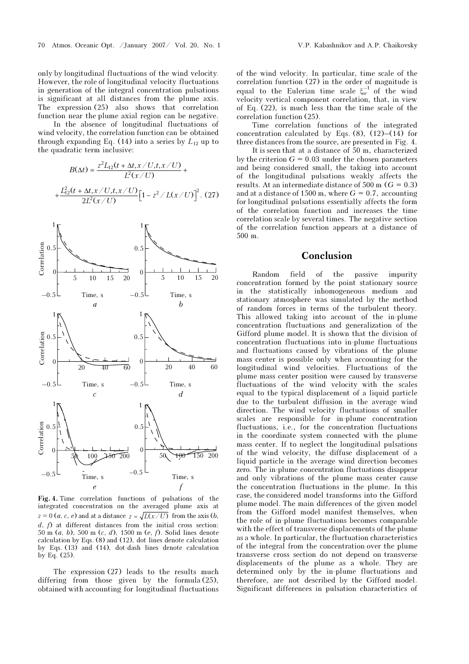only by longitudinal fluctuations of the wind velocity. However, the role of longitudinal velocity fluctuations in generation of the integral concentration pulsations is significant at all distances from the plume axis. The expression (25) also shows that correlation function near the plume axial region can be negative.

 In the absence of longitudinal fluctuations of wind velocity, the correlation function can be obtained through expanding Eq. (14) into a series by  $L_{12}$  up to the quadratic term inclusive:

$$
B(\Delta t) = \frac{z^2 L_{12}(t + \Delta t, x / U, t, x / U)}{L^2(x / U)} +
$$

$$
+ \frac{L_{12}^2(t + \Delta t, x / U, t, x / U)}{2L^2(x / U)} \Big[1 - z^2 / L(x / U)\Big]^2. (27)
$$



Fig. 4. Time correlation functions of pulsations of the integrated concentration on the averaged plume axis at  $z = 0$  (*a, c, e*) and at a distance  $z = \sqrt{L(x/U)}$  from the axis (*b*,  $d, f$  at different distances from the initial cross section: 50 m (a, b), 500 m (c, d), 1500 m (e, f). Solid lines denote calculation by Eqs. (8) and (12), dot lines denote calculation by Eqs. (13) and (14), dot-dash lines denote calculation by Eq. (25).

The expression (27) leads to the results much differing from those given by the formula (25), obtained with accounting for longitudinal fluctuations of the wind velocity. In particular, time scale of the correlation function (27) in the order of magnitude is equal to the Eulerian time scale  $\xi_w^{-1}$  of the wind velocity vertical component correlation, that, in view of Eq. (22), is much less than the time scale of the correlation function (25).

Time correlation functions of the integrated concentration calculated by Eqs.  $(8)$ ,  $(12)$ – $(14)$  for three distances from the source, are presented in Fig. 4.

 It is seen that at a distance of 50 m, characterized by the criterion  $G = 0.03$  under the chosen parameters and being considered small, the taking into account of the longitudinal pulsations weakly affects the results. At an intermediate distance of 500 m ( $G = 0.3$ ) and at a distance of 1500 m, where  $G = 0.7$ , accounting for longitudinal pulsations essentially affects the form of the correlation function and increases the time correlation scale by several times. The negative section of the correlation function appears at a distance of 500 m.

## Conclusion

Random field of the passive impurity concentration formed by the point stationary source in the statistically inhomogeneous medium and stationary atmosphere was simulated by the method of random forces in terms of the turbulent theory. This allowed taking into account of the in-plume concentration fluctuations and generalization of the Gifford plume model. It is shown that the division of concentration fluctuations into in-plume fluctuations and fluctuations caused by vibrations of the plume mass center is possible only when accounting for the longitudinal wind velocities. Fluctuations of the plume mass center position were caused by transverse fluctuations of the wind velocity with the scales equal to the typical displacement of a liquid particle due to the turbulent diffusion in the average wind direction. The wind velocity fluctuations of smaller scales are responsible for in-plume concentration fluctuations, i.e., for the concentration fluctuations in the coordinate system connected with the plume mass center. If to neglect the longitudinal pulsations of the wind velocity, the diffuse displacement of a liquid particle in the average wind direction becomes zero. The in-plume concentration fluctuations disappear and only vibrations of the plume mass center cause the concentration fluctuations in the plume. In this case, the considered model transforms into the Gifford plume model. The main differences of the given model from the Gifford model manifest themselves, when the role of in-plume fluctuations becomes comparable with the effect of transverse displacements of the plume as a whole. In particular, the fluctuation characteristics of the integral from the concentration over the plume transverse cross section do not depend on transverse displacements of the plume as a whole. They are determined only by the in-plume fluctuations and therefore, are not described by the Gifford model. Significant differences in pulsation characteristics of